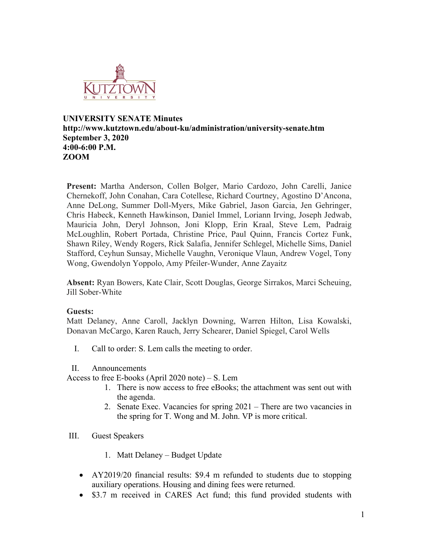

### **UNIVERSITY SENATE Minutes http://www.kutztown.edu/about-ku/administration/university-senate.htm September 3, 2020 4:00-6:00 P.M. ZOOM**

**Present:** Martha Anderson, Collen Bolger, Mario Cardozo, John Carelli, Janice Chernekoff, John Conahan, Cara Cotellese, Richard Courtney, Agostino D'Ancona, Anne DeLong, Summer Doll-Myers, Mike Gabriel, Jason Garcia, Jen Gehringer, Chris Habeck, Kenneth Hawkinson, Daniel Immel, Loriann Irving, Joseph Jedwab, Mauricia John, Deryl Johnson, Joni Klopp, Erin Kraal, Steve Lem, Padraig McLoughlin, Robert Portada, Christine Price, Paul Quinn, Francis Cortez Funk, Shawn Riley, Wendy Rogers, Rick Salafia, Jennifer Schlegel, Michelle Sims, Daniel Stafford, Ceyhun Sunsay, Michelle Vaughn, Veronique Vlaun, Andrew Vogel, Tony Wong, Gwendolyn Yoppolo, Amy Pfeiler-Wunder, Anne Zayaitz

**Absent:** Ryan Bowers, Kate Clair, Scott Douglas, George Sirrakos, Marci Scheuing, Jill Sober-White

#### **Guests:**

Matt Delaney, Anne Caroll, Jacklyn Downing, Warren Hilton, Lisa Kowalski, Donavan McCargo, Karen Rauch, Jerry Schearer, Daniel Spiegel, Carol Wells

I. Call to order: S. Lem calls the meeting to order.

#### II. Announcements

Access to free E-books (April 2020 note) – S. Lem

- 1. There is now access to free eBooks; the attachment was sent out with the agenda.
- 2. Senate Exec. Vacancies for spring 2021 There are two vacancies in the spring for T. Wong and M. John. VP is more critical.
- III. Guest Speakers
	- 1. Matt Delaney Budget Update
	- AY2019/20 financial results: \$9.4 m refunded to students due to stopping auxiliary operations. Housing and dining fees were returned.
	- \$3.7 m received in CARES Act fund; this fund provided students with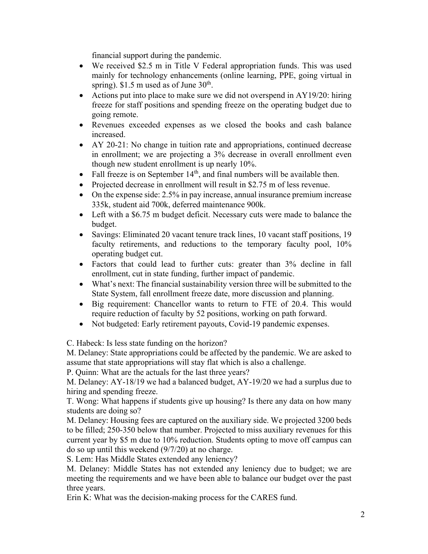financial support during the pandemic.

- We received \$2.5 m in Title V Federal appropriation funds. This was used mainly for technology enhancements (online learning, PPE, going virtual in spring).  $$1.5 \text{ m}$  used as of June  $30^{\text{th}}$ .
- Actions put into place to make sure we did not overspend in AY19/20: hiring freeze for staff positions and spending freeze on the operating budget due to going remote.
- Revenues exceeded expenses as we closed the books and cash balance increased.
- AY 20-21: No change in tuition rate and appropriations, continued decrease in enrollment; we are projecting a 3% decrease in overall enrollment even though new student enrollment is up nearly 10%.
- Fall freeze is on September  $14<sup>th</sup>$ , and final numbers will be available then.
- Projected decrease in enrollment will result in \$2.75 m of less revenue.
- On the expense side: 2.5% in pay increase, annual insurance premium increase 335k, student aid 700k, deferred maintenance 900k.
- Left with a \$6.75 m budget deficit. Necessary cuts were made to balance the budget.
- Savings: Eliminated 20 vacant tenure track lines, 10 vacant staff positions, 19 faculty retirements, and reductions to the temporary faculty pool, 10% operating budget cut.
- Factors that could lead to further cuts: greater than 3% decline in fall enrollment, cut in state funding, further impact of pandemic.
- What's next: The financial sustainability version three will be submitted to the State System, fall enrollment freeze date, more discussion and planning.
- Big requirement: Chancellor wants to return to FTE of 20.4. This would require reduction of faculty by 52 positions, working on path forward.
- Not budgeted: Early retirement payouts, Covid-19 pandemic expenses.

C. Habeck: Is less state funding on the horizon?

M. Delaney: State appropriations could be affected by the pandemic. We are asked to assume that state appropriations will stay flat which is also a challenge.

P. Quinn: What are the actuals for the last three years?

M. Delaney: AY-18/19 we had a balanced budget, AY-19/20 we had a surplus due to hiring and spending freeze.

T. Wong: What happens if students give up housing? Is there any data on how many students are doing so?

M. Delaney: Housing fees are captured on the auxiliary side. We projected 3200 beds to be filled; 250-350 below that number. Projected to miss auxiliary revenues for this current year by \$5 m due to 10% reduction. Students opting to move off campus can do so up until this weekend (9/7/20) at no charge.

S. Lem: Has Middle States extended any leniency?

M. Delaney: Middle States has not extended any leniency due to budget; we are meeting the requirements and we have been able to balance our budget over the past three years.

Erin K: What was the decision-making process for the CARES fund.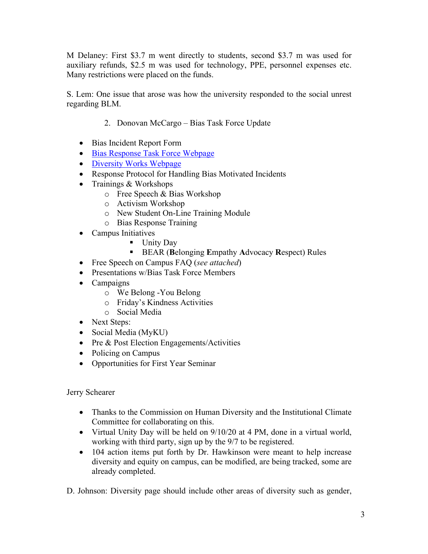M Delaney: First \$3.7 m went directly to students, second \$3.7 m was used for auxiliary refunds, \$2.5 m was used for technology, PPE, personnel expenses etc. Many restrictions were placed on the funds.

S. Lem: One issue that arose was how the university responded to the social unrest regarding BLM.

- 2. Donovan McCargo Bias Task Force Update
- Bias Incident Report Form
- [Bias Response Task Force Webpage](https://www.kutztown.edu/about-ku/administrative-offices/dean-of-students.html)
- [Diversity Works Webpage](https://www.kutztown.edu/about-ku/administrative-offices/dean-of-students/diversity-works-at-ku.html)
- Response Protocol for Handling Bias Motivated Incidents
- Trainings & Workshops
	- o Free Speech & Bias Workshop
	- o Activism Workshop
	- o New Student On-Line Training Module
	- o Bias Response Training
- Campus Initiatives
	- Unity Day
	- BEAR (**B**elonging **E**mpathy **A**dvocacy **R**espect) Rules
- Free Speech on Campus FAQ (*see attached*)
- Presentations w/Bias Task Force Members
- Campaigns
	- o We Belong -You Belong
	- o Friday's Kindness Activities
	- o Social Media
- Next Steps:
- Social Media (MyKU)
- Pre & Post Election Engagements/Activities
- Policing on Campus
- Opportunities for First Year Seminar

Jerry Schearer

- Thanks to the Commission on Human Diversity and the Institutional Climate Committee for collaborating on this.
- Virtual Unity Day will be held on 9/10/20 at 4 PM, done in a virtual world, working with third party, sign up by the 9/7 to be registered.
- 104 action items put forth by Dr. Hawkinson were meant to help increase diversity and equity on campus, can be modified, are being tracked, some are already completed.

D. Johnson: Diversity page should include other areas of diversity such as gender,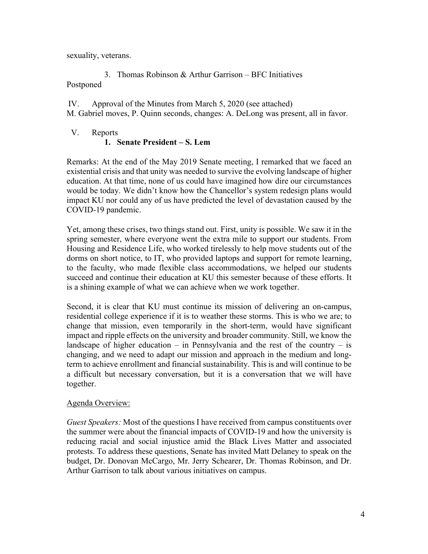sexuality, veterans.

3. Thomas Robinson & Arthur Garrison – BFC Initiatives Postponed

IV. Approval of the Minutes from March 5, 2020 (see attached) M. Gabriel moves, P. Quinn seconds, changes: A. DeLong was present, all in favor.

### V. Reports

### **1. Senate President – S. Lem**

Remarks: At the end of the May 2019 Senate meeting, I remarked that we faced an existential crisis and that unity was needed to survive the evolving landscape of higher education. At that time, none of us could have imagined how dire our circumstances would be today. We didn't know how the Chancellor's system redesign plans would impact KU nor could any of us have predicted the level of devastation caused by the COVID-19 pandemic.

Yet, among these crises, two things stand out. First, unity is possible. We saw it in the spring semester, where everyone went the extra mile to support our students. From Housing and Residence Life, who worked tirelessly to help move students out of the dorms on short notice, to IT, who provided laptops and support for remote learning, to the faculty, who made flexible class accommodations, we helped our students succeed and continue their education at KU this semester because of these efforts. It is a shining example of what we can achieve when we work together.

Second, it is clear that KU must continue its mission of delivering an on-campus, residential college experience if it is to weather these storms. This is who we are; to change that mission, even temporarily in the short-term, would have significant impact and ripple effects on the university and broader community. Still, we know the landscape of higher education – in Pennsylvania and the rest of the country – is changing, and we need to adapt our mission and approach in the medium and longterm to achieve enrollment and financial sustainability. This is and will continue to be a difficult but necessary conversation, but it is a conversation that we will have together.

#### Agenda Overview:

*Guest Speakers:* Most of the questions I have received from campus constituents over the summer were about the financial impacts of COVID-19 and how the university is reducing racial and social injustice amid the Black Lives Matter and associated protests. To address these questions, Senate has invited Matt Delaney to speak on the budget, Dr. Donovan McCargo, Mr. Jerry Schearer, Dr. Thomas Robinson, and Dr. Arthur Garrison to talk about various initiatives on campus.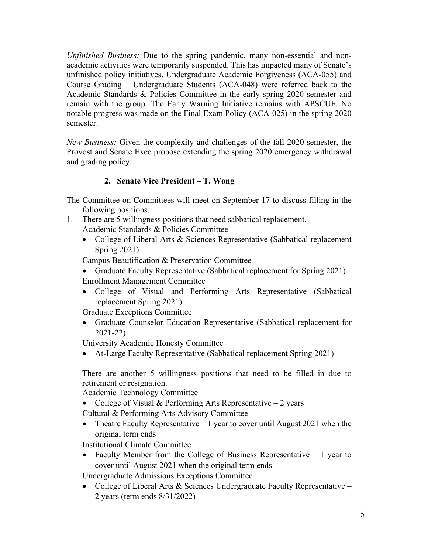*Unfinished Business:* Due to the spring pandemic, many non-essential and nonacademic activities were temporarily suspended. This has impacted many of Senate's unfinished policy initiatives. Undergraduate Academic Forgiveness (ACA-055) and Course Grading – Undergraduate Students (ACA-048) were referred back to the Academic Standards & Policies Committee in the early spring 2020 semester and remain with the group. The Early Warning Initiative remains with APSCUF. No notable progress was made on the Final Exam Policy (ACA-025) in the spring 2020 semester.

*New Business:* Given the complexity and challenges of the fall 2020 semester, the Provost and Senate Exec propose extending the spring 2020 emergency withdrawal and grading policy.

## **2. Senate Vice President – T. Wong**

The Committee on Committees will meet on September 17 to discuss filling in the following positions.

- 1. There are 5 willingness positions that need sabbatical replacement. Academic Standards & Policies Committee
	- College of Liberal Arts & Sciences Representative (Sabbatical replacement Spring 2021)

Campus Beautification & Preservation Committee

- Graduate Faculty Representative (Sabbatical replacement for Spring 2021) Enrollment Management Committee
- College of Visual and Performing Arts Representative (Sabbatical replacement Spring 2021)

Graduate Exceptions Committee

• Graduate Counselor Education Representative (Sabbatical replacement for 2021-22)

University Academic Honesty Committee

• At-Large Faculty Representative (Sabbatical replacement Spring 2021)

There are another 5 willingness positions that need to be filled in due to retirement or resignation.

Academic Technology Committee

- College of Visual & Performing Arts Representative  $-2$  years
- Cultural & Performing Arts Advisory Committee
- Theatre Faculty Representative  $-1$  year to cover until August 2021 when the original term ends

Institutional Climate Committee

• Faculty Member from the College of Business Representative – 1 year to cover until August 2021 when the original term ends

Undergraduate Admissions Exceptions Committee

• College of Liberal Arts & Sciences Undergraduate Faculty Representative – 2 years (term ends 8/31/2022)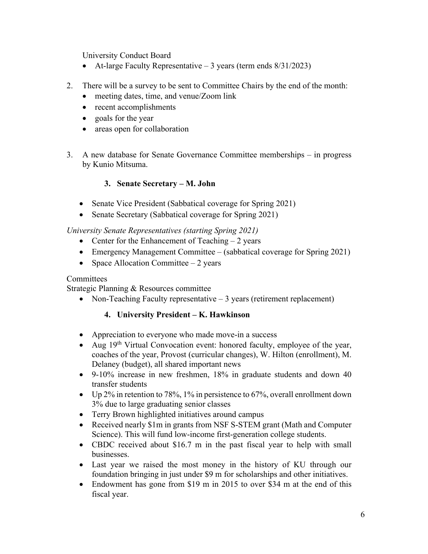University Conduct Board

- At-large Faculty Representative  $-3$  years (term ends  $8/31/2023$ )
- 2. There will be a survey to be sent to Committee Chairs by the end of the month:
	- meeting dates, time, and venue/Zoom link
	- recent accomplishments
	- goals for the year
	- areas open for collaboration
- 3. A new database for Senate Governance Committee memberships in progress by Kunio Mitsuma.

## **3. Senate Secretary – M. John**

- Senate Vice President (Sabbatical coverage for Spring 2021)
- Senate Secretary (Sabbatical coverage for Spring 2021)

## *University Senate Representatives (starting Spring 2021)*

- Center for the Enhancement of Teaching  $-2$  years
- Emergency Management Committee (sabbatical coverage for Spring 2021)
- Space Allocation Committee  $-2$  years

### Committees

Strategic Planning & Resources committee

• Non-Teaching Faculty representative – 3 years (retirement replacement)

# **4. University President – K. Hawkinson**

- Appreciation to everyone who made move-in a success
- Aug  $19<sup>th</sup> Virtual Convocation event: honored faculty, employee of the year,$ coaches of the year, Provost (curricular changes), W. Hilton (enrollment), M. Delaney (budget), all shared important news
- 9-10% increase in new freshmen, 18% in graduate students and down 40 transfer students
- Up 2% in retention to 78%, 1% in persistence to 67%, overall enrollment down 3% due to large graduating senior classes
- Terry Brown highlighted initiatives around campus
- Received nearly \$1m in grants from NSF S-STEM grant (Math and Computer Science). This will fund low-income first-generation college students.
- CBDC received about \$16.7 m in the past fiscal year to help with small businesses.
- Last year we raised the most money in the history of KU through our foundation bringing in just under \$9 m for scholarships and other initiatives.
- Endowment has gone from \$19 m in 2015 to over \$34 m at the end of this fiscal year.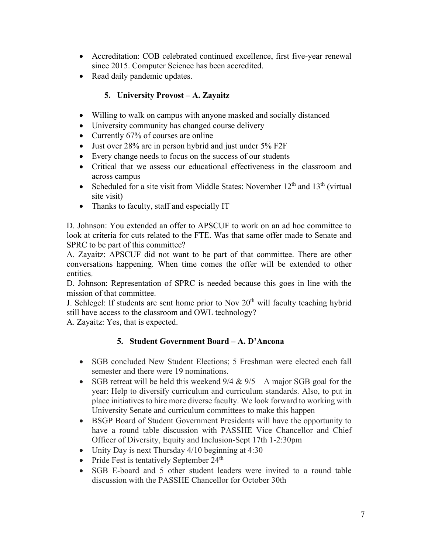- Accreditation: COB celebrated continued excellence, first five-year renewal since 2015. Computer Science has been accredited.
- Read daily pandemic updates.

# **5. University Provost – A. Zayaitz**

- Willing to walk on campus with anyone masked and socially distanced
- University community has changed course delivery
- Currently 67% of courses are online
- Just over 28% are in person hybrid and just under 5% F2F
- Every change needs to focus on the success of our students
- Critical that we assess our educational effectiveness in the classroom and across campus
- Scheduled for a site visit from Middle States: November  $12<sup>th</sup>$  and  $13<sup>th</sup>$  (virtual) site visit)
- Thanks to faculty, staff and especially IT

D. Johnson: You extended an offer to APSCUF to work on an ad hoc committee to look at criteria for cuts related to the FTE. Was that same offer made to Senate and SPRC to be part of this committee?

A. Zayaitz: APSCUF did not want to be part of that committee. There are other conversations happening. When time comes the offer will be extended to other entities.

D. Johnson: Representation of SPRC is needed because this goes in line with the mission of that committee.

J. Schlegel: If students are sent home prior to Nov  $20<sup>th</sup>$  will faculty teaching hybrid still have access to the classroom and OWL technology?

A. Zayaitz: Yes, that is expected.

# **5. Student Government Board – A. D'Ancona**

- SGB concluded New Student Elections; 5 Freshman were elected each fall semester and there were 19 nominations.
- SGB retreat will be held this weekend  $9/4 \& 9/5$ —A major SGB goal for the year: Help to diversify curriculum and curriculum standards. Also, to put in place initiatives to hire more diverse faculty. We look forward to working with University Senate and curriculum committees to make this happen
- BSGP Board of Student Government Presidents will have the opportunity to have a round table discussion with PASSHE Vice Chancellor and Chief Officer of Diversity, Equity and Inclusion-Sept 17th 1-2:30pm
- Unity Day is next Thursday 4/10 beginning at 4:30
- Pride Fest is tentatively September  $24<sup>th</sup>$
- SGB E-board and 5 other student leaders were invited to a round table discussion with the PASSHE Chancellor for October 30th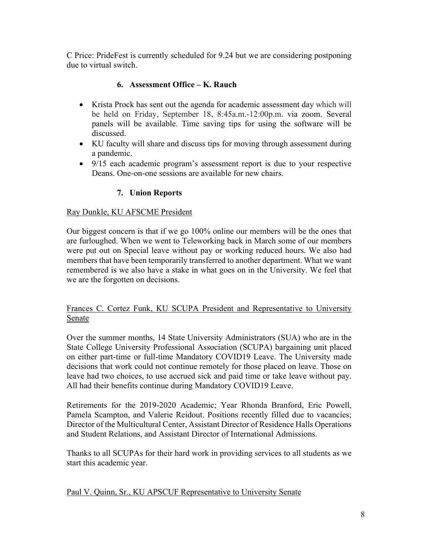C Price: PrideFest is currently scheduled for 9.24 but we are considering postponing due to virtual switch.

## **6. Assessment Office – K. Rauch**

- Krista Prock has sent out the agenda for academic assessment day which will be held on Friday, September 18, 8:45a.m.-12:00p.m. via zoom. Several panels will be available. Time saving tips for using the software will be discussed.
- KU faculty will share and discuss tips for moving through assessment during a pandemic.
- 9/15 each academic program's assessment report is due to your respective Deans. One-on-one sessions are available for new chairs.

# **7. Union Reports**

### Ray Dunkle, KU AFSCME President

Our biggest concern is that if we go 100% online our members will be the ones that are furloughed. When we went to Teleworking back in March some of our members were put out on Special leave without pay or working reduced hours. We also had members that have been temporarily transferred to another department. What we want remembered is we also have a stake in what goes on in the University. We feel that we are the forgotten on decisions.

### Frances C. Cortez Funk, KU SCUPA President and Representative to University Senate

Over the summer months, 14 State University Administrators (SUA) who are in the State College University Professional Association (SCUPA) bargaining unit placed on either part-time or full-time Mandatory COVID19 Leave. The University made decisions that work could not continue remotely for those placed on leave. Those on leave had two choices, to use accrued sick and paid time or take leave without pay. All had their benefits continue during Mandatory COVID19 Leave.

Retirements for the 2019-2020 Academic; Year Rhonda Branford, Eric Powell, Pamela Scampton, and Valerie Reidout. Positions recently filled due to vacancies; Director of the Multicultural Center, Assistant Director of Residence Halls Operations and Student Relations, and Assistant Director of International Admissions.

Thanks to all SCUPAs for their hard work in providing services to all students as we start this academic year.

Paul V. Quinn, Sr., KU APSCUF Representative to University Senate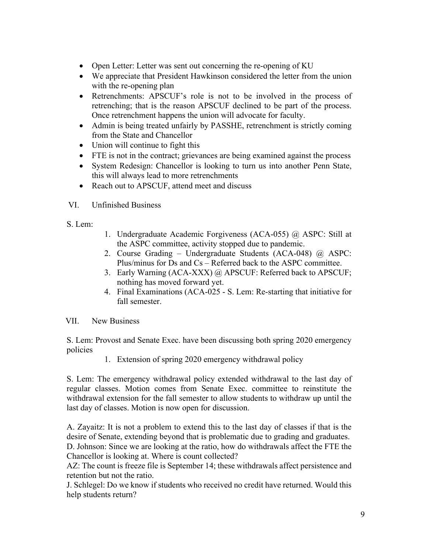- Open Letter: Letter was sent out concerning the re-opening of KU
- We appreciate that President Hawkinson considered the letter from the union with the re-opening plan
- Retrenchments: APSCUF's role is not to be involved in the process of retrenching; that is the reason APSCUF declined to be part of the process. Once retrenchment happens the union will advocate for faculty.
- Admin is being treated unfairly by PASSHE, retrenchment is strictly coming from the State and Chancellor
- Union will continue to fight this
- FTE is not in the contract; grievances are being examined against the process
- System Redesign: Chancellor is looking to turn us into another Penn State, this will always lead to more retrenchments
- Reach out to APSCUF, attend meet and discuss
- VI. Unfinished Business
- S. Lem:
- 1. Undergraduate Academic Forgiveness (ACA-055) @ ASPC: Still at the ASPC committee, activity stopped due to pandemic.
- 2. Course Grading Undergraduate Students (ACA-048) @ ASPC: Plus/minus for Ds and Cs – Referred back to the ASPC committee.
- 3. Early Warning (ACA-XXX) @ APSCUF: Referred back to APSCUF; nothing has moved forward yet.
- 4. Final Examinations (ACA-025 S. Lem: Re-starting that initiative for fall semester.
- VII. New Business

S. Lem: Provost and Senate Exec. have been discussing both spring 2020 emergency policies

1. Extension of spring 2020 emergency withdrawal policy

S. Lem: The emergency withdrawal policy extended withdrawal to the last day of regular classes. Motion comes from Senate Exec. committee to reinstitute the withdrawal extension for the fall semester to allow students to withdraw up until the last day of classes. Motion is now open for discussion.

A. Zayaitz: It is not a problem to extend this to the last day of classes if that is the desire of Senate, extending beyond that is problematic due to grading and graduates. D. Johnson: Since we are looking at the ratio, how do withdrawals affect the FTE the Chancellor is looking at. Where is count collected?

AZ: The count is freeze file is September 14; these withdrawals affect persistence and retention but not the ratio.

J. Schlegel: Do we know if students who received no credit have returned. Would this help students return?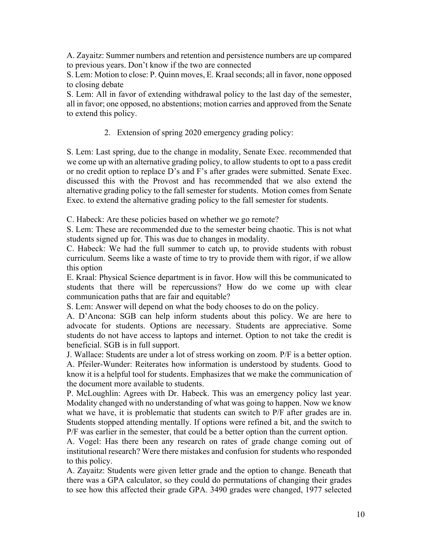A. Zayaitz: Summer numbers and retention and persistence numbers are up compared to previous years. Don't know if the two are connected

S. Lem: Motion to close: P. Quinn moves, E. Kraal seconds; all in favor, none opposed to closing debate

S. Lem: All in favor of extending withdrawal policy to the last day of the semester, all in favor; one opposed, no abstentions; motion carries and approved from the Senate to extend this policy.

2. Extension of spring 2020 emergency grading policy:

S. Lem: Last spring, due to the change in modality, Senate Exec. recommended that we come up with an alternative grading policy, to allow students to opt to a pass credit or no credit option to replace D's and F's after grades were submitted. Senate Exec. discussed this with the Provost and has recommended that we also extend the alternative grading policy to the fall semester for students. Motion comes from Senate Exec. to extend the alternative grading policy to the fall semester for students.

C. Habeck: Are these policies based on whether we go remote?

S. Lem: These are recommended due to the semester being chaotic. This is not what students signed up for. This was due to changes in modality.

C. Habeck: We had the full summer to catch up, to provide students with robust curriculum. Seems like a waste of time to try to provide them with rigor, if we allow this option

E. Kraal: Physical Science department is in favor. How will this be communicated to students that there will be repercussions? How do we come up with clear communication paths that are fair and equitable?

S. Lem: Answer will depend on what the body chooses to do on the policy.

A. D'Ancona: SGB can help inform students about this policy. We are here to advocate for students. Options are necessary. Students are appreciative. Some students do not have access to laptops and internet. Option to not take the credit is beneficial. SGB is in full support.

J. Wallace: Students are under a lot of stress working on zoom. P/F is a better option. A. Pfeiler-Wunder: Reiterates how information is understood by students. Good to know it is a helpful tool for students. Emphasizes that we make the communication of the document more available to students.

P. McLoughlin: Agrees with Dr. Habeck. This was an emergency policy last year. Modality changed with no understanding of what was going to happen. Now we know what we have, it is problematic that students can switch to P/F after grades are in. Students stopped attending mentally. If options were refined a bit, and the switch to P/F was earlier in the semester, that could be a better option than the current option.

A. Vogel: Has there been any research on rates of grade change coming out of institutional research? Were there mistakes and confusion for students who responded to this policy.

A. Zayaitz: Students were given letter grade and the option to change. Beneath that there was a GPA calculator, so they could do permutations of changing their grades to see how this affected their grade GPA. 3490 grades were changed, 1977 selected